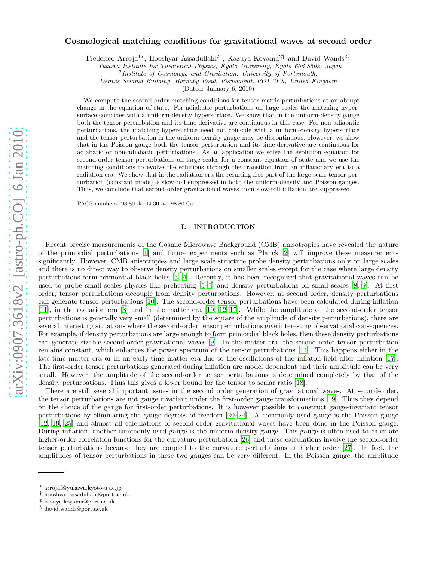# arXiv:0907.3618v2 [astro-ph.CO] 6 Jan 2010 [arXiv:0907.3618v2 \[astro-ph.CO\] 6 Jan 2010](http://arxiv.org/abs/0907.3618v2)

# Cosmological matching conditions for gravitational waves at second order

Frederico Arroja<sup>1\*</sup>, Hooshyar Assadullahi<sup>2†</sup>, Kazuya Koyama<sup>2‡</sup> and David Wands<sup>2§</sup>

<sup>1</sup>Yukawa Institute for Theoretical Physics, Kyoto University, Kyoto 606-8502, Japan

Dennis Sciama Building, Burnaby Road, Portsmouth PO1 3FX, United Kingdom

(Dated: January 6, 2010)

We compute the second-order matching conditions for tensor metric perturbations at an abrupt change in the equation of state. For adiabatic perturbations on large scales the matching hypersurface coincides with a uniform-density hypersurface. We show that in the uniform-density gauge both the tensor perturbation and its time-derivative are continuous in this case. For non-adiabatic perturbations, the matching hypersurface need not coincide with a uniform-density hypersurface and the tensor perturbation in the uniform-density gauge may be discontinuous. However, we show that in the Poisson gauge both the tensor perturbation and its time-derivative are continuous for adiabatic or non-adiabatic perturbations. As an application we solve the evolution equation for second-order tensor perturbations on large scales for a constant equation of state and we use the matching conditions to evolve the solutions through the transition from an inflationary era to a radiation era. We show that in the radiation era the resulting free part of the large-scale tensor perturbation (constant mode) is slow-roll suppressed in both the uniform-density and Poisson gauges. Thus, we conclude that second-order gravitational waves from slow-roll inflation are suppressed.

PACS numbers: 98.80.-k, 04.30.-w, 98.80.Cq

## I. INTRODUCTION

Recent precise measurements of the Cosmic Microwave Background (CMB) anisotropies have revealed the nature of the primordial perturbations [\[1](#page-17-0)] and future experiments such as Planck [\[2\]](#page-17-1) will improve these measurements significantly. However, CMB anisotropies and large scale structure probe density perturbations only on large scales and there is no direct way to observe density perturbations on smaller scales except for the case where large density perturbations form primordial black holes [\[3](#page-17-2), [4\]](#page-17-3). Recently, it has been recognized that gravitational waves can be used to probe small scales physics like preheating [\[5](#page-17-4)[–7](#page-17-5)] and density perturbations on small scales [\[8](#page-17-6), [9](#page-18-0)]. At first order, tensor perturbations decouple from density perturbations. However, at second order, density perturbations can generate tensor perturbations [\[10\]](#page-18-1). The second-order tensor perturbations have been calculated during inflation [\[11\]](#page-18-2), in the radiation era [\[8\]](#page-17-6) and in the matter era [\[10,](#page-18-1) [12](#page-18-3)[–17](#page-18-4)]. While the amplitude of the second-order tensor perturbations is generally very small (determined by the square of the amplitude of density perturbations), there are several interesting situations where the second-order tensor perturbations give interesting observational consequences. For example, if density perturbations are large enough to form primordial black holes, then these density perturbations can generate sizable second-order gravitational waves [\[9\]](#page-18-0). In the matter era, the second-order tensor perturbation remains constant, which enhances the power spectrum of the tensor perturbations [\[14](#page-18-5)]. This happens either in the late-time matter era or in an early-time matter era due to the oscillations of the inflaton field after inflation [\[17\]](#page-18-4). The first-order tensor perturbations generated during inflation are model dependent and their amplitude can be very small. However, the amplitude of the second-order tensor perturbations is determined completely by that of the density perturbations. Thus this gives a lower bound for the tensor to scalar ratio [\[18](#page-18-6)].

There are still several important issues in the second order generation of gravitational waves. At second-order, the tensor perturbations are not gauge invariant under the first-order gauge transformations [\[19](#page-18-7)]. Thus they depend on the choice of the gauge for first-order perturbations. It is however possible to construct gauge-invariant tensor perturbations by eliminating the gauge degrees of freedom [\[20](#page-18-8)[–24](#page-18-9)]. A commonly used gauge is the Poisson gauge [\[12,](#page-18-3) [19,](#page-18-7) [25](#page-18-10)] and almost all calculations of second-order gravitational waves have been done in the Poisson gauge. During inflation, another commonly used gauge is the uniform-density gauge. This gauge is often used to calculate higher-order correlation functions for the curvature perturbation [\[26](#page-18-11)] and these calculations involve the second-order tensor perturbations because they are coupled to the curvature perturbations at higher order [\[27\]](#page-18-12). In fact, the amplitudes of tensor perturbations in these two gauges can be very different. In the Poisson gauge, the amplitude

<sup>&</sup>lt;sup>2</sup>Institute of Cosmology and Gravitation, University of Portsmouth,

<sup>∗</sup> arrojaf@yukawa.kyoto-u.ac.jp

<sup>†</sup> hooshyar.assadullahi@port.ac.uk

<sup>‡</sup> kazuya.koyama@port.ac.uk

<sup>§</sup> david.wands@port.ac.uk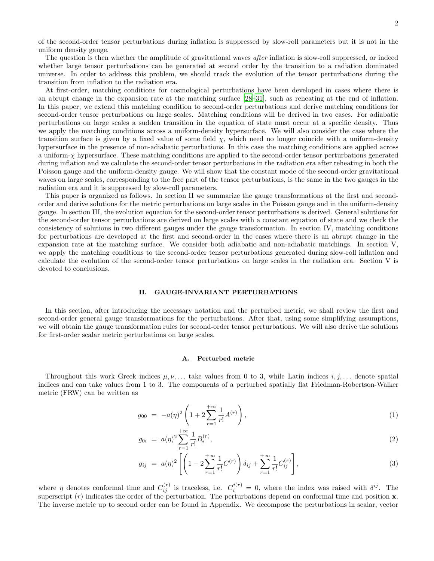of the second-order tensor perturbations during inflation is suppressed by slow-roll parameters but it is not in the uniform density gauge.

The question is then whether the amplitude of gravitational waves *after* inflation is slow-roll suppressed, or indeed whether large tensor perturbations can be generated at second order by the transition to a radiation dominated universe. In order to address this problem, we should track the evolution of the tensor perturbations during the transition from inflation to the radiation era.

At first-order, matching conditions for cosmological perturbations have been developed in cases where there is an abrupt change in the expansion rate at the matching surface [\[28](#page-18-13)[–31\]](#page-18-14), such as reheating at the end of inflation. In this paper, we extend this matching condition to second-order perturbations and derive matching conditions for second-order tensor perturbations on large scales. Matching conditions will be derived in two cases. For adiabatic perturbations on large scales a sudden transition in the equation of state must occur at a specific density. Thus we apply the matching conditions across a uniform-density hypersurface. We will also consider the case where the transition surface is given by a fixed value of some field  $\chi$ , which need no longer coincide with a uniform-density hypersurface in the presence of non-adiabatic perturbations. In this case the matching conditions are applied across a uniform-χ hypersurface. These matching conditions are applied to the second-order tensor perturbations generated during inflation and we calculate the second-order tensor perturbations in the radiation era after reheating in both the Poisson gauge and the uniform-density gauge. We will show that the constant mode of the second-order gravitational waves on large scales, corresponding to the free part of the tensor perturbations, is the same in the two gauges in the radiation era and it is suppressed by slow-roll parameters.

This paper is organized as follows. In section II we summarize the gauge transformations at the first and secondorder and derive solutions for the metric perturbations on large scales in the Poisson gauge and in the uniform-density gauge. In section III, the evolution equation for the second-order tensor perturbations is derived. General solutions for the second-order tensor perturbations are derived on large scales with a constant equation of state and we check the consistency of solutions in two different gauges under the gauge transformation. In section IV, matching conditions for perturbations are developed at the first and second-order in the cases where there is an abrupt change in the expansion rate at the matching surface. We consider both adiabatic and non-adiabatic matchings. In section V, we apply the matching conditions to the second-order tensor perturbations generated during slow-roll inflation and calculate the evolution of the second-order tensor perturbations on large scales in the radiation era. Section V is devoted to conclusions.

# II. GAUGE-INVARIANT PERTURBATIONS

In this section, after introducing the necessary notation and the perturbed metric, we shall review the first and second-order general gauge transformations for the perturbations. After that, using some simplifying assumptions, we will obtain the gauge transformation rules for second-order tensor perturbations. We will also derive the solutions for first-order scalar metric perturbations on large scales.

#### A. Perturbed metric

Throughout this work Greek indices  $\mu, \nu, \ldots$  take values from 0 to 3, while Latin indices  $i, j, \ldots$  denote spatial indices and can take values from 1 to 3. The components of a perturbed spatially flat Friedman-Robertson-Walker metric (FRW) can be written as

$$
g_{00} = -a(\eta)^2 \left( 1 + 2 \sum_{r=1}^{+\infty} \frac{1}{r!} A^{(r)} \right), \tag{1}
$$

$$
g_{0i} = a(\eta)^2 \sum_{r=1}^{+\infty} \frac{1}{r!} B_i^{(r)},\tag{2}
$$

$$
g_{ij} = a(\eta)^2 \left[ \left( 1 - 2 \sum_{r=1}^{+\infty} \frac{1}{r!} C^{(r)} \right) \delta_{ij} + \sum_{r=1}^{+\infty} \frac{1}{r!} C^{(r)}_{ij} \right],
$$
\n(3)

where  $\eta$  denotes conformal time and  $C_{ij}^{(r)}$  is traceless, i.e.  $C_i^{i(r)} = 0$ , where the index was raised with  $\delta^{ij}$ . The superscript  $(r)$  indicates the order of the perturbation. The perturbations depend on conformal time and position x. The inverse metric up to second order can be found in Appendix. We decompose the perturbations in scalar, vector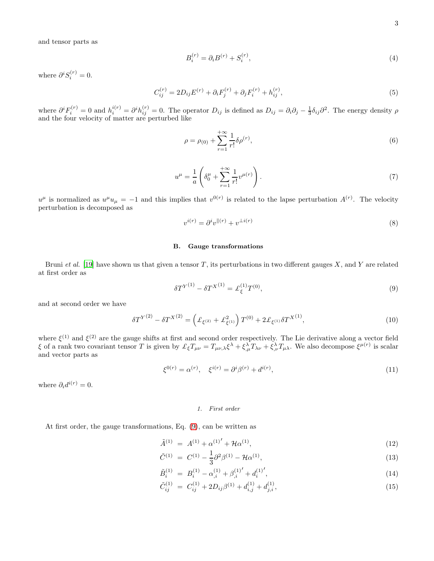and tensor parts as

$$
B_i^{(r)} = \partial_i B^{(r)} + S_i^{(r)},\tag{4}
$$

where  $\partial^i S_i^{(r)} = 0$ .

$$
C_{ij}^{(r)} = 2D_{ij}E^{(r)} + \partial_i F_j^{(r)} + \partial_j F_i^{(r)} + h_{ij}^{(r)},
$$
\n(5)

where  $\partial^i F_i^{(r)} = 0$  and  $h_i^{i(r)} = \partial^i h_{ij}^{(r)} = 0$ . The operator  $D_{ij}$  is defined as  $D_{ij} = \partial_i \partial_j - \frac{1}{3} \delta_{ij} \partial^2$ . The energy density  $\rho$ and the four velocity of matter are perturbed like

$$
\rho = \rho_{(0)} + \sum_{r=1}^{+\infty} \frac{1}{r!} \delta \rho^{(r)},\tag{6}
$$

$$
u^{\mu} = \frac{1}{a} \left( \delta_0^{\mu} + \sum_{r=1}^{+\infty} \frac{1}{r!} v^{\mu(r)} \right).
$$
 (7)

 $u^{\mu}$  is normalized as  $u^{\mu}u_{\mu} = -1$  and this implies that  $v^{0(r)}$  is related to the lapse perturbation  $A^{(r)}$ . The velocity perturbation is decomposed as

$$
v^{i(r)} = \partial^i v^{\parallel (r)} + v^{\perp i(r)}\tag{8}
$$

#### B. Gauge transformations

Bruni et al. [\[19](#page-18-7)] have shown us that given a tensor  $T$ , its perturbations in two different gauges  $X$ , and  $Y$  are related at first order as

<span id="page-2-0"></span>
$$
\delta T^{Y^{(1)}} - \delta T^{X^{(1)}} = \pounds_{\xi}^{(1)} T^{(0)},\tag{9}
$$

and at second order we have

$$
\delta T^{Y^{(2)}} - \delta T^{X^{(2)}} = \left( \pounds_{\xi^{(2)}} + \pounds_{\xi^{(1)}}^2 \right) T^{(0)} + 2 \pounds_{\xi^{(1)}} \delta T^{X^{(1)}},\tag{10}
$$

where  $\xi^{(1)}$  and  $\xi^{(2)}$  are the gauge shifts at first and second order respectively. The Lie derivative along a vector field ξ of a rank two covariant tensor T is given by  $\mathcal{L}_{\xi}T_{\mu\nu} = T_{\mu\nu,\lambda} \xi^{\lambda} + \xi^{\lambda}_{,\mu} T_{\lambda\nu} + \xi^{\lambda}_{,\nu} T_{\mu\lambda}$ . We also decompose  $\xi^{\mu(r)}$  is scalar and vector parts as

$$
\xi^{0(r)} = \alpha^{(r)}, \quad \xi^{i(r)} = \partial^i \beta^{(r)} + d^{i(r)}, \tag{11}
$$

where  $\partial_i d^{i(r)} = 0$ .

# 1. First order

At first order, the gauge transformations, Eq. [\(9\)](#page-2-0), can be written as

<span id="page-2-1"></span>
$$
\tilde{A}^{(1)} = A^{(1)} + {\alpha^{(1)}}' + \mathcal{H}\alpha^{(1)},\tag{12}
$$

$$
\tilde{C}^{(1)} = C^{(1)} - \frac{1}{3} \partial^2 \beta^{(1)} - \mathcal{H} \alpha^{(1)}, \tag{13}
$$

$$
\tilde{B}_i^{(1)} = B_i^{(1)} - \alpha_{,i}^{(1)} + \beta_{,i}^{(1)'} + d_i^{(1)'},\tag{14}
$$

$$
\tilde{C}_{ij}^{(1)} = C_{ij}^{(1)} + 2D_{ij}\beta^{(1)} + d_{i,j}^{(1)} + d_{j,i}^{(1)},\tag{15}
$$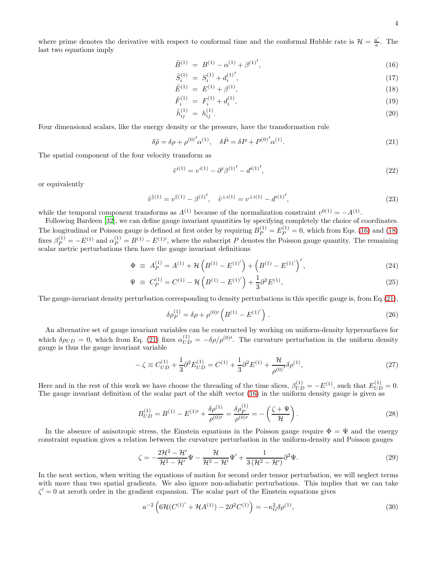where prime denotes the derivative with respect to conformal time and the conformal Hubble rate is  $\mathcal{H} = \frac{a'}{a}$  $\frac{a'}{a}$ . The last two equations imply

<span id="page-3-0"></span>
$$
\tilde{B}^{(1)} = B^{(1)} - \alpha^{(1)} + \beta^{(1)'}.
$$
\n(16)

$$
\tilde{S}_i^{(1)} = S_i^{(1)} + d_i^{(1)'},\tag{17}
$$

$$
\tilde{E}^{(1)} = E^{(1)} + \beta^{(1)}, \tag{18}
$$

$$
\tilde{F}_i^{(1)} = F_i^{(1)} + d_i^{(1)},\tag{19}
$$

$$
\tilde{h}_{ij}^{(1)} = h_{ij}^{(1)}.
$$
\n(20)

Four dimensional scalars, like the energy density or the pressure, have the transformation rule

<span id="page-3-1"></span>
$$
\delta \tilde{\rho} = \delta \rho + {\rho^{(0)}}' \alpha^{(1)}, \quad \delta \tilde{P} = \delta P + P^{(0)}' \alpha^{(1)}.
$$
\n(21)

The spatial component of the four velocity transform as

$$
\tilde{v}^{i(1)} = v^{i(1)} - \partial^i \beta^{(1)'} - d^{i(1)'},\tag{22}
$$

or equivalently

$$
\tilde{v}^{\parallel(1)} = v^{\parallel(1)} - \beta^{(1)'}, \quad \tilde{v}^{\perp i(1)} = v^{\perp i(1)} - d^{i(1)'},\tag{23}
$$

while the temporal component transforms as  $A^{(1)}$  because of the normalization constraint  $v^{0(1)} = -A^{(1)}$ .

Following Bardeen [\[32\]](#page-18-15), we can define gauge invariant quantities by specifying completely the choice of coordinates. The longitudinal or Poisson gauge is defined at first order by requiring  $B_P^{(1)} = E_P^{(1)} = 0$ , which from Eqs. [\(16\)](#page-3-0) and [\(18\)](#page-3-0) fixes  $\beta_P^{(1)} = -E^{(1)}$  and  $\alpha_P^{(1)} = B^{(1)} - E^{(1)}$ , where the subscript P denotes the Poisson gauge quantity. The remaining scalar metric perturbations then have the gauge invariant definitions

$$
\Phi \equiv A_P^{(1)} = A^{(1)} + \mathcal{H}\left(B^{(1)} - E^{(1)'}\right) + \left(B^{(1)} - E^{(1)'}\right)',\tag{24}
$$

$$
\Psi \equiv C_P^{(1)} = C^{(1)} - \mathcal{H}\left(B^{(1)} - E^{(1)'}\right) + \frac{1}{3}\partial^2 E^{(1)},\tag{25}
$$

The gauge-invariant density perturbation corresponding to density perturbations in this specific gauge is, from Eq.[\(21\)](#page-3-1),

$$
\delta \rho_P^{(1)} = \delta \rho + \rho^{(0)'} \left( B^{(1)} - E^{(1)'} \right) \,. \tag{26}
$$

An alternative set of gauge invariant variables can be constructed by working on uniform-density hypersurfaces for which  $\delta \rho_{UD} = 0$ , which from Eq. [\(21\)](#page-3-1) fixes  $\alpha_{UD}^{(1)} = -\delta \rho / \rho^{(0)'}$ . The curvature perturbation in the uniform density gauge is thus the gauge invariant variable

$$
-\zeta \equiv C_{UD}^{(1)} + \frac{1}{3}\partial^2 E_{UD}^{(1)} = C^{(1)} + \frac{1}{3}\partial^2 E^{(1)} + \frac{\mathcal{H}}{\rho^{(0)'}},\tag{27}
$$

Here and in the rest of this work we have choose the threading of the time slices,  $\beta_{UD}^{(1)} = -E^{(1)}$ , such that  $E_{UD}^{(1)} = 0$ . The gauge invariant definition of the scalar part of the shift vector [\(16\)](#page-3-0) in the uniform density gauge is given as

<span id="page-3-3"></span>
$$
B_{UD}^{(1)} = B^{(1)} - E^{(1)\prime} + \frac{\delta \rho^{(1)}}{\rho^{(0)\prime}} = \frac{\delta \rho_P^{(1)}}{\rho^{(0)\prime}} = -\left(\frac{\zeta + \Psi}{\mathcal{H}}\right). \tag{28}
$$

In the absence of anisotropic stress, the Einstein equations in the Poisson gauge require  $\Phi = \Psi$  and the energy constraint equation gives a relation between the curvature perturbation in the uniform-density and Poisson gauges

<span id="page-3-2"></span>
$$
\zeta = -\frac{2\mathcal{H}^2 - \mathcal{H}'}{\mathcal{H}^2 - \mathcal{H}'}\Psi - \frac{\mathcal{H}}{\mathcal{H}^2 - \mathcal{H}'}\Psi' + \frac{1}{3\left(\mathcal{H}^2 - \mathcal{H}'\right)}\partial^2\Psi.
$$
\n(29)

In the next section, when writing the equations of motion for second order tensor perturbation, we will neglect terms with more than two spatial gradients. We also ignore non-adiabatic perturbations. This implies that we can take  $\zeta' = 0$  at zeroth order in the gradient expansion. The scalar part of the Einstein equations gives

<span id="page-3-4"></span>
$$
a^{-2} \left( 6\mathcal{H}(C^{(1)'} + \mathcal{H}A^{(1)}) - 2\partial^2 C^{(1)} \right) = -\kappa_G^2 \delta \rho^{(1)},\tag{30}
$$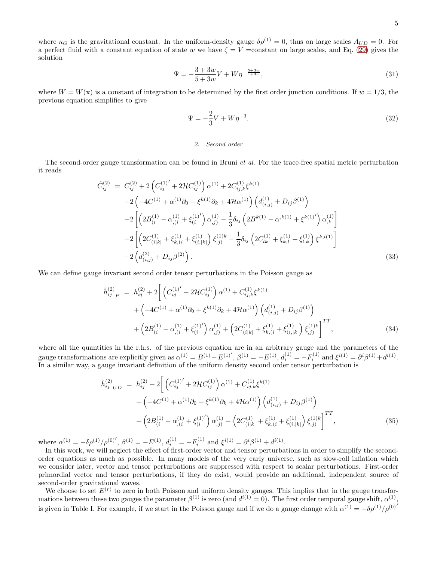where  $\kappa_G$  is the gravitational constant. In the uniform-density gauge  $\delta \rho^{(1)} = 0$ , thus on large scales  $A_{UD} = 0$ . For a perfect fluid with a constant equation of state w we have  $\zeta = V =$ constant on large scales, and Eq. [\(29\)](#page-3-2) gives the solution

<span id="page-4-3"></span>
$$
\Psi = -\frac{3+3w}{5+3w}V + W\eta^{-\frac{5+3w}{1+3w}},\tag{31}
$$

where  $W = W(\mathbf{x})$  is a constant of integration to be determined by the first order junction conditions. If  $w = 1/3$ , the previous equation simplifies to give

$$
\Psi = -\frac{2}{3}V + W\eta^{-3}.\tag{32}
$$

#### 2. Second order

The second-order gauge transformation can be found in Bruni *et al.* For the trace-free spatial metric perturbation it reads

<span id="page-4-0"></span>
$$
\tilde{C}_{ij}^{(2)} = C_{ij}^{(2)} + 2\left(C_{ij}^{(1)'} + 2\mathcal{H}C_{ij}^{(1)}\right)\alpha^{(1)} + 2C_{ij,k}^{(1)}\xi^{k(1)} \n+ 2\left(-4C^{(1)} + \alpha^{(1)}\partial_0 + \xi^{k(1)}\partial_k + 4\mathcal{H}\alpha^{(1)}\right)\left(d_{(i,j)}^{(1)} + D_{ij}\beta^{(1)}\right) \n+ 2\left[\left(2B_{(i)}^{(1)} - \alpha_{,(i)}^{(1)} + \xi_{(i)}^{(1)}'\right)\alpha_{,j}^{(1)} - \frac{1}{3}\delta_{ij}\left(2B^{k(1)} - \alpha^{k(1)} + \xi^{k(1)}'\right)\alpha_{,k}^{(1)}\right] \n+ 2\left[\left(2C_{(i|k|)}^{(1)} + \xi_{k,(i}^{(1)} + \xi_{(i,|k|)}^{(1)}\right)\xi_{,j}^{(1)k} - \frac{1}{3}\delta_{ij}\left(2C_{lk}^{(1)} + \xi_{k,l}^{(1)} + \xi_{l,k}^{(1)}\right)\xi^{k,l(1)}\right] \n+ 2\left(d_{(i,j)}^{(2)} + D_{ij}\beta^{(2)}\right).
$$
\n(33)

We can define gauge invariant second order tensor perturbations in the Poisson gauge as

<span id="page-4-1"></span>
$$
\tilde{h}_{ij\ P}^{(2)} = h_{ij}^{(2)} + 2 \bigg[ \left( C_{ij}^{(1)'} + 2\mathcal{H} C_{ij}^{(1)} \right) \alpha^{(1)} + C_{ij,k}^{(1)} \xi^{k(1)} \n+ \left( -4C^{(1)} + \alpha^{(1)}\partial_0 + \xi^{k(1)}\partial_k + 4\mathcal{H}\alpha^{(1)} \right) \left( d_{(i,j)}^{(1)} + D_{ij}\beta^{(1)} \right) \n+ \left( 2B_{(i}^{(1)} - \alpha_{,(i)}^{(1)} + \xi_{(i)}^{(1)'} \right) \alpha_{,j)}^{(1)} + \left( 2C_{(i|k|)}^{(1)} + \xi_{k,(i}^{(1)} + \xi_{(i,|k|)}^{(1)} \right) \xi_{,j}^{(1)k} \bigg]^{TT},
$$
\n(34)

where all the quantities in the r.h.s. of the previous equation are in an arbitrary gauge and the parameters of the gauge transformations are explicitly given as  $\alpha^{(1)} = B^{(1)} - E^{(1)'}, \beta^{(1)} = -E^{(1)}, d_i^{(1)} = -F_i^{(1)}$  and  $\xi^{i(1)} = \partial^i \beta^{(1)} + d^{i(1)}$ . In a similar way, a gauge invariant definition of the uniform density second order tensor perturbation is

<span id="page-4-2"></span>
$$
\tilde{h}_{ij\;UD}^{(2)} = h_{ij}^{(2)} + 2 \left[ \left( C_{ij}^{(1)'} + 2\mathcal{H}C_{ij}^{(1)} \right) \alpha^{(1)} + C_{ij,k}^{(1)} \xi^{k(1)} + \left( -4C^{(1)} + \alpha^{(1)}\partial_0 + \xi^{k(1)}\partial_k + 4\mathcal{H}\alpha^{(1)} \right) \left( d_{(i,j)}^{(1)} + D_{ij}\beta^{(1)} \right) + \left( 2B_{(i}^{(1)} - \alpha_{,i}^{(1)} + \xi_{(i)}^{(1')'} \right) \alpha_{,j)}^{(1)} + \left( 2C_{(i|k|)}^{(1)} + \xi_{k,(i}^{(1)} + \xi_{(i,|k|)}^{(1)} \right) \xi_{,j}^{(1)k} \right]^{TT},
$$
\n(35)

where  $\alpha^{(1)} = -\delta \rho^{(1)}/\rho^{(0)'}, \beta^{(1)} = -E^{(1)}, d_i^{(1)} = -F_i^{(1)}$  and  $\xi^{i(1)} = \partial^i \beta^{(1)} + d^{i(1)}$ .

In this work, we will neglect the effect of first-order vector and tensor perturbations in order to simplify the secondorder equations as much as possible. In many models of the very early universe, such as slow-roll inflation which we consider later, vector and tensor perturbations are suppressed with respect to scalar perturbations. First-order primordial vector and tensor perturbations, if they do exist, would provide an additional, independent source of second-order gravitational waves.

We choose to set  $E^{(r)}$  to zero in both Poisson and uniform density gauges. This implies that in the gauge transformations between these two gauges the parameter  $\beta^{(1)}$  is zero (and  $d^{i(1)} = 0$ ). The first order temporal gauge shift,  $\alpha^{(1)}$ , is given in Table I. For example, if we start in the Poisson gauge and if we do a gauge change with  $\alpha^{(1)} = -\delta \rho^{(1)}/\rho^{(0)}$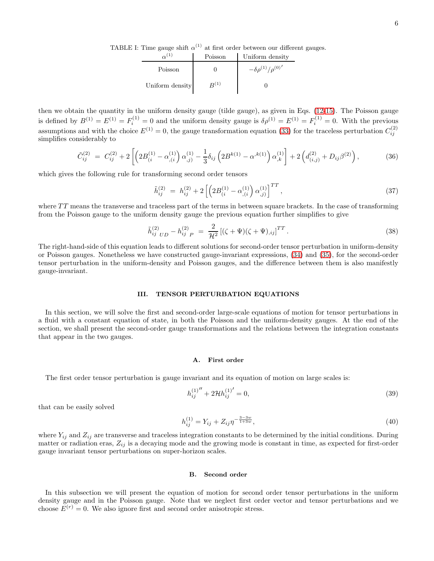TABLE I: Time gauge shift  $\alpha^{(1)}$  at first order between our different gauges.

|                 | Poisson   | Uniform density                  |
|-----------------|-----------|----------------------------------|
| Poisson         |           | $-\delta \rho^{(1)}/\rho^{(0)'}$ |
| Uniform density | $R^{(1)}$ |                                  |

then we obtain the quantity in the uniform density gauge (tilde gauge), as given in Eqs. [\(12-15\)](#page-2-1). The Poisson gauge is defined by  $B^{(1)} = E^{(1)} = F_i^{(1)} = 0$  and the uniform density gauge is  $\delta \rho^{(1)} = E^{(1)} = F_i^{(1)} = 0$ . With the previous assumptions and with the choice  $E^{(1)} = 0$ , the gauge transformation equation [\(33\)](#page-4-0) for the traceless perturbation  $C_{ij}^{(2)}$ simplifies considerably to

$$
\tilde{C}_{ij}^{(2)} = C_{ij}^{(2)} + 2 \left[ \left( 2B_{(i)}^{(1)} - \alpha_{,i}^{(1)} \right) \alpha_{,j}^{(1)} - \frac{1}{3} \delta_{ij} \left( 2B^{k(1)} - \alpha^{,k(1)} \right) \alpha_{,k}^{(1)} \right] + 2 \left( d_{(i,j)}^{(2)} + D_{ij} \beta^{(2)} \right),\tag{36}
$$

which gives the following rule for transforming second order tensors

<span id="page-5-1"></span>
$$
\tilde{h}_{ij}^{(2)} = h_{ij}^{(2)} + 2 \left[ \left( 2B_{(i)}^{(1)} - \alpha_{,(i)}^{(1)} \right) \alpha_{,j}^{(1)} \right]^{TT}, \tag{37}
$$

where  $TT$  means the transverse and traceless part of the terms in between square brackets. In the case of transforming from the Poisson gauge to the uniform density gauge the previous equation further simplifies to give

<span id="page-5-0"></span>
$$
\tilde{h}_{ij\;UD}^{(2)} - h_{ij\;P}^{(2)} = \frac{2}{\mathcal{H}^2} \left[ (\zeta + \Psi)(\zeta + \Psi)_{,ij} \right]^{TT} . \tag{38}
$$

The right-hand-side of this equation leads to different solutions for second-order tensor perturbation in uniform-density or Poisson gauges. Nonetheless we have constructed gauge-invariant expressions, [\(34\)](#page-4-1) and [\(35\)](#page-4-2), for the second-order tensor perturbation in the uniform-density and Poisson gauges, and the difference between them is also manifestly gauge-invariant.

## III. TENSOR PERTURBATION EQUATIONS

In this section, we will solve the first and second-order large-scale equations of motion for tensor perturbations in a fluid with a constant equation of state, in both the Poisson and the uniform-density gauges. At the end of the section, we shall present the second-order gauge transformations and the relations between the integration constants that appear in the two gauges.

#### A. First order

The first order tensor perturbation is gauge invariant and its equation of motion on large scales is:

$$
h_{ij}^{(1)''} + 2\mathcal{H}h_{ij}^{(1)'} = 0,\t\t(39)
$$

that can be easily solved

$$
h_{ij}^{(1)} = Y_{ij} + Z_{ij} \eta^{-\frac{3-3w}{1+3w}},\tag{40}
$$

where  $Y_{ij}$  and  $Z_{ij}$  are transverse and traceless integration constants to be determined by the initial conditions. During matter or radiation eras,  $Z_{ij}$  is a decaying mode and the growing mode is constant in time, as expected for first-order gauge invariant tensor perturbations on super-horizon scales.

#### B. Second order

In this subsection we will present the equation of motion for second order tensor perturbations in the uniform density gauge and in the Poisson gauge. Note that we neglect first order vector and tensor perturbations and we choose  $E^{(r)} = 0$ . We also ignore first and second order anisotropic stress.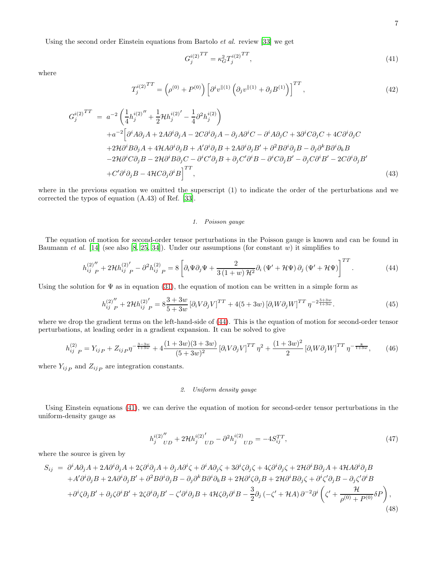Using the second order Einstein equations from Bartolo et al. review [\[33\]](#page-18-16) we get

<span id="page-6-1"></span>
$$
G_j^{i(2)}^{TT} = \kappa_G^2 T_j^{i(2)}^{TT},\tag{41}
$$

where

$$
T_j^{i(2)}^{TT} = \left(\rho^{(0)} + P^{(0)}\right) \left[\partial^i v^{\parallel(1)} \left(\partial_j v^{\parallel(1)} + \partial_j B^{(1)}\right)\right]^{TT},\tag{42}
$$

$$
G_j^{i(2)}^{TT} = a^{-2} \left( \frac{1}{4} h_j^{i(2)''} + \frac{1}{2} \mathcal{H} h_j^{i(2)'} - \frac{1}{4} \partial^2 h_j^{i(2)} \right)
$$
  
\n
$$
+ a^{-2} \left[ \partial^i A \partial_j A + 2 A \partial^i \partial_j A - 2 C \partial^i \partial_j A - \partial_j A \partial^i C - \partial^i A \partial_j C + 3 \partial^i C \partial_j C + 4 C \partial^i \partial_j C \right]
$$
  
\n
$$
+ 2 \mathcal{H} \partial^i B \partial_j A + 4 \mathcal{H} A \partial^i \partial_j B + A' \partial^i \partial_j B + 2 A \partial^i \partial_j B' + \partial^2 B \partial^i \partial_j B - \partial_j \partial^k B \partial^i \partial_k B
$$
  
\n
$$
- 2 \mathcal{H} \partial^i C \partial_j B - 2 \mathcal{H} \partial^i B \partial_j C - \partial^i C' \partial_j B + \partial_j C' \partial^i B - \partial^i C \partial_j B' - \partial_j C \partial^i B' - 2 C \partial^i \partial_j B'
$$
  
\n
$$
+ C' \partial^i \partial_j B - 4 \mathcal{H} C \partial_j \partial^i B \right]^{TT},
$$
  
\n(43)

where in the previous equation we omitted the superscript (1) to indicate the order of the perturbations and we corrected the typos of equation (A.43) of Ref. [\[33\]](#page-18-16).

# 1. Poisson gauge

The equation of motion for second-order tensor perturbations in the Poisson gauge is known and can be found in Baumann *et al.* [\[14\]](#page-18-5) (see also [\[8](#page-17-6), [25,](#page-18-10) [34\]](#page-18-17)). Under our assumptions (for constant w) it simplifies to

<span id="page-6-0"></span>
$$
h_{ij\ P}^{(2)''} + 2\mathcal{H}h_{ij\ P}^{(2)'} - \partial^2 h_{ij\ P}^{(2)} = 8 \left[ \partial_i \Psi \partial_j \Psi + \frac{2}{3\left(1+w\right)\mathcal{H}^2} \partial_i \left(\Psi' + \mathcal{H}\Psi\right) \partial_j \left(\Psi' + \mathcal{H}\Psi\right) \right]^{TT} . \tag{44}
$$

Using the solution for  $\Psi$  as in equation [\(31\)](#page-4-3), the equation of motion can be written in a simple form as

<span id="page-6-3"></span>
$$
h_{ij\ P}^{(2)''} + 2\mathcal{H}h_{ij\ P}^{(2)'} = 8\frac{3+3w}{5+3w} \left[ \partial_i V \partial_j V \right]^{TT} + 4(5+3w) \left[ \partial_i W \partial_j W \right]^{TT} \eta^{-2\frac{5+3w}{1+3w}}.
$$
 (45)

where we drop the gradient terms on the left-hand-side of [\(44\)](#page-6-0). This is the equation of motion for second-order tensor perturbations, at leading order in a gradient expansion. It can be solved to give

<span id="page-6-4"></span>
$$
h_{ij\ P}^{(2)} = Y_{ij\ P} + Z_{ij\ P} \eta^{-\frac{3-3w}{1+3w}} + 4 \frac{(1+3w)(3+3w)}{(5+3w)^2} \left[ \partial_i V \partial_j V \right]^{TT} \eta^2 + \frac{(1+3w)^2}{2} \left[ \partial_i W \partial_j W \right]^{TT} \eta^{-\frac{8}{1+3w}}, \tag{46}
$$

where  $Y_{ij}$  and  $Z_{ij}$  are integration constants.

## 2. Uniform density gauge

Using Einstein equations [\(41\)](#page-6-1), we can derive the equation of motion for second-order tensor perturbations in the uniform-density gauge as

<span id="page-6-2"></span>
$$
h_j^{i(2)''}{}_{UD} + 2\mathcal{H}h_j^{i(2)'}{}_{UD} - \partial^2 h_j^{i(2)}{}_{UD} = -4S_{ij}^{TT},\tag{47}
$$

where the source is given by

$$
S_{ij} = \partial^i A \partial_j A + 2A \partial^i \partial_j A + 2\zeta \partial^i \partial_j A + \partial_j A \partial^i \zeta + \partial^i A \partial_j \zeta + 3\partial^i \zeta \partial_j \zeta + 4\zeta \partial^i \partial_j \zeta + 2H \partial^i B \partial_j A + 4H A \partial^i \partial_j B + A' \partial^i \partial_j B + 2A \partial^i \partial_j B' + \partial^2 B \partial^i \partial_j B - \partial_j \partial^k B \partial^i \partial_k B + 2H \partial^i \zeta \partial_j B + 2H \partial^i B \partial_j \zeta + \partial^i \zeta' \partial_j B - \partial_j \zeta' \partial^i B + \partial^i \zeta \partial_j B' + \partial_j \zeta \partial^i B' + 2\zeta \partial^i \partial_j B' - \zeta' \partial^i \partial_j B + 4H \zeta \partial_j \partial^i B - \frac{3}{2} \partial_j (-\zeta' + H A) \partial^{-2} \partial^i \left( \zeta' + \frac{H}{\rho^{(0)} + P^{(0)}} \delta P \right),
$$
\n(48)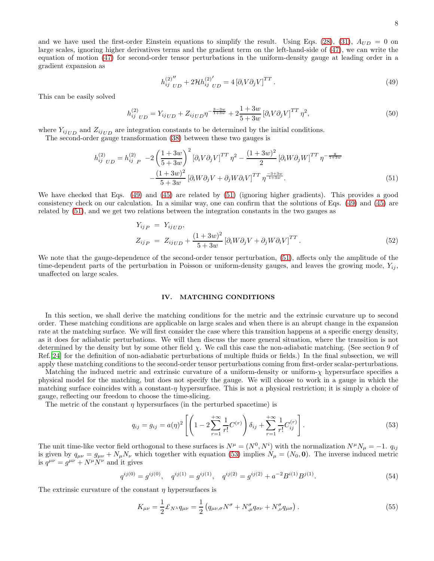8

and we have used the first-order Einstein equations to simplify the result. Using Eqs. [\(28\)](#page-3-3), [\(31\)](#page-4-3),  $A_{UD} = 0$  on large scales, ignoring higher derivatives terms and the gradient term on the left-hand-side of [\(47\)](#page-6-2), we can write the equation of motion [\(47\)](#page-6-2) for second-order tensor perturbations in the uniform-density gauge at leading order in a gradient expansion as

<span id="page-7-0"></span>
$$
h_{ij\;UD}^{(2)''} + 2\mathcal{H}h_{ij\;UD}^{(2)'} = 4\left[\partial_i V \partial_j V\right]^{TT}.
$$
\n(49)

This can be easily solved

<span id="page-7-4"></span>
$$
h_{ij\;UD}^{(2)} = Y_{ij\;UD} + Z_{ij\;UD}\eta^{-\frac{3-3w}{1+3w}} + 2\frac{1+3w}{5+3w} \left[\partial_i V \partial_j V\right]^{TT} \eta^2,\tag{50}
$$

where  $Y_{ijUD}$  and  $Z_{ijUD}$  are integration constants to be determined by the initial conditions.

The second-order gauge transformation [\(38\)](#page-5-0) between these two gauges is

<span id="page-7-1"></span>
$$
h_{ij\;UD}^{(2)} = h_{ij\;P}^{(2)} - 2\left(\frac{1+3w}{5+3w}\right)^2 \left[\partial_i V \partial_j V\right]^{TT} \eta^2 - \frac{(1+3w)^2}{2} \left[\partial_i W \partial_j W\right]^{TT} \eta^{-\frac{8}{1+3w}} -\frac{(1+3w)^2}{5+3w} \left[\partial_i W \partial_j V + \partial_j W \partial_i V\right]^{TT} \eta^{-\frac{3+3w}{1+3w}}.
$$
(51)

We have checked that Eqs. [\(49\)](#page-7-0) and [\(45\)](#page-6-3) are related by [\(51\)](#page-7-1) (ignoring higher gradients). This provides a good consistency check on our calculation. In a similar way, one can confirm that the solutions of Eqs. [\(49\)](#page-7-0) and [\(45\)](#page-6-3) are related by [\(51\)](#page-7-1), and we get two relations between the integration constants in the two gauges as

<span id="page-7-5"></span>
$$
Y_{ijP} = Y_{ijUD},
$$
  
\n
$$
Z_{ijP} = Z_{ijUD} + \frac{(1+3w)^2}{5+3w} [\partial_i W \partial_j V + \partial_j W \partial_i V]^{TT}.
$$
\n(52)

We note that the gauge-dependence of the second-order tensor perturbation, [\(51\)](#page-7-1), affects only the amplitude of the time-dependent parts of the perturbation in Poisson or uniform-density gauges, and leaves the growing mode,  $Y_{ii}$ , unaffected on large scales.

# <span id="page-7-3"></span>IV. MATCHING CONDITIONS

In this section, we shall derive the matching conditions for the metric and the extrinsic curvature up to second order. These matching conditions are applicable on large scales and when there is an abrupt change in the expansion rate at the matching surface. We will first consider the case where this transition happens at a specific energy density, as it does for adiabatic perturbations. We will then discuss the more general situation, where the transition is not determined by the density but by some other field  $\chi$ . We call this case the non-adiabatic matching. (See section 9 of Ref.[\[24](#page-18-9)] for the definition of non-adiabatic perturbations of multiple fluids or fields.) In the final subsection, we will apply these matching conditions to the second-order tensor perturbations coming from first-order scalar-perturbations.

Matching the induced metric and extrinsic curvature of a uniform-density or uniform- $\chi$  hypersurface specifies a physical model for the matching, but does not specify the gauge. We will choose to work in a gauge in which the matching surface coincides with a constant- $\eta$  hypersurface. This is not a physical restriction; it is simply a choice of gauge, reflecting our freedom to choose the time-slicing.

The metric of the constant  $\eta$  hypersurfaces (in the perturbed spacetime) is

<span id="page-7-2"></span>
$$
q_{ij} = g_{ij} = a(\eta)^2 \left[ \left( 1 - 2 \sum_{r=1}^{+\infty} \frac{1}{r!} C^{(r)} \right) \delta_{ij} + \sum_{r=1}^{+\infty} \frac{1}{r!} C^{(r)}_{ij} \right]. \tag{53}
$$

The unit time-like vector field orthogonal to these surfaces is  $N^{\mu} = (N^0, N^i)$  with the normalization  $N^{\mu}N_{\mu} = -1$ .  $q_{ij}$ is given by  $q_{\mu\nu} = g_{\mu\nu} + N_{\mu}N_{\nu}$  which together with equation [\(53\)](#page-7-2) implies  $N_{\mu} = (N_0, \mathbf{0})$ . The inverse induced metric is  $q^{\mu\nu} = g^{\mu\nu} + N^{\mu}N^{\nu}$  and it gives

$$
q^{ij(0)} = g^{ij(0)}, \quad q^{ij(1)} = g^{ij(1)}, \quad q^{ij(2)} = g^{ij(2)} + a^{-2} B^{i(1)} B^{j(1)}.
$$
\n
$$
(54)
$$

The extrinsic curvature of the constant  $\eta$  hypersurfaces is

$$
K_{\mu\nu} = \frac{1}{2} \mathcal{L}_{N^{\lambda}} q_{\mu\nu} = \frac{1}{2} \left( q_{\mu\nu,\sigma} N^{\sigma} + N^{\sigma}_{,\mu} q_{\sigma\nu} + N^{\sigma}_{,\nu} q_{\mu\sigma} \right). \tag{55}
$$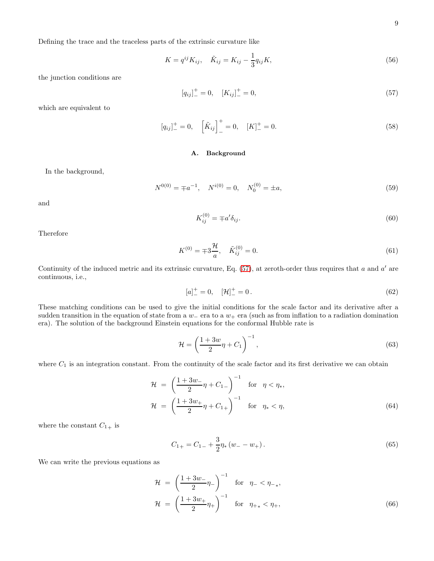Defining the trace and the traceless parts of the extrinsic curvature like

$$
K = q^{ij} K_{ij}, \quad \tilde{K}_{ij} = K_{ij} - \frac{1}{3} q_{ij} K,
$$
\n(56)

the junction conditions are

<span id="page-8-0"></span>
$$
[q_{ij}]_{-}^{+} = 0, \quad [K_{ij}]_{-}^{+} = 0,\tag{57}
$$

which are equivalent to

$$
[q_{ij}]_{-}^{+} = 0, \quad \left[\tilde{K}_{ij}\right]_{-}^{+} = 0, \quad [K]_{-}^{+} = 0.
$$
\n(58)

# A. Background

In the background,

$$
N^{0(0)} = \pm a^{-1}, \quad N^{i(0)} = 0, \quad N_0^{(0)} = \pm a,\tag{59}
$$

and

$$
K_{ij}^{(0)} = \mp a'\delta_{ij}.\tag{60}
$$

Therefore

$$
K^{(0)} = \pm 3 \frac{\mathcal{H}}{a}, \quad \tilde{K}_{ij}^{(0)} = 0. \tag{61}
$$

Continuity of the induced metric and its extrinsic curvature, Eq.  $(57)$ , at zeroth-order thus requires that a and a' are continuous, i.e.,

<span id="page-8-1"></span>
$$
[a]_{-}^{+} = 0, \quad [\mathcal{H}]_{-}^{+} = 0. \tag{62}
$$

These matching conditions can be used to give the initial conditions for the scale factor and its derivative after a sudden transition in the equation of state from a  $w_$  era to a  $w_+$  era (such as from inflation to a radiation domination era). The solution of the background Einstein equations for the conformal Hubble rate is

$$
\mathcal{H} = \left(\frac{1+3w}{2}\eta + C_1\right)^{-1},\tag{63}
$$

where  $C_1$  is an integration constant. From the continuity of the scale factor and its first derivative we can obtain

$$
\mathcal{H} = \left(\frac{1+3w_{-}}{2}\eta + C_{1-}\right)^{-1} \quad \text{for} \quad \eta < \eta_{*},
$$
\n
$$
\mathcal{H} = \left(\frac{1+3w_{+}}{2}\eta + C_{1+}\right)^{-1} \quad \text{for} \quad \eta_{*} < \eta,
$$
\n(64)

where the constant  $C_{1+}$  is

$$
C_{1+} = C_{1-} + \frac{3}{2}\eta_* \left( w_- - w_+ \right). \tag{65}
$$

We can write the previous equations as

$$
\mathcal{H} = \left(\frac{1+3w_{-}}{2}\eta_{-}\right)^{-1} \quad \text{for} \quad \eta_{-} < \eta_{-*},
$$
\n
$$
\mathcal{H} = \left(\frac{1+3w_{+}}{2}\eta_{+}\right)^{-1} \quad \text{for} \quad \eta_{+} < \eta_{+}, \tag{66}
$$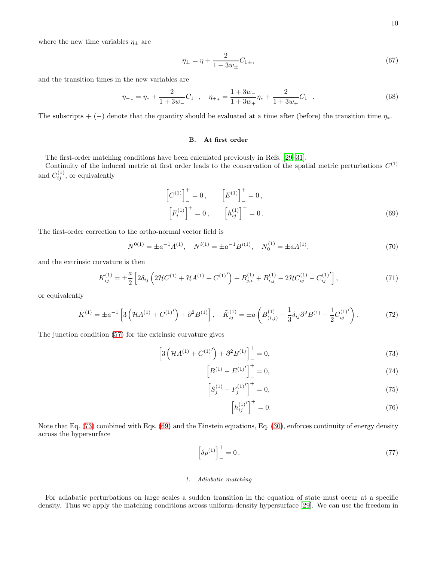where the new time variables  $\eta_\pm$  are

$$
\eta_{\pm} = \eta + \frac{2}{1 + 3w_{\pm}} C_{1\pm},\tag{67}
$$

and the transition times in the new variables are

$$
\eta_{-*} = \eta_* + \frac{2}{1+3w_-}C_{1-}, \quad \eta_{+*} = \frac{1+3w_-}{1+3w_+}\eta_* + \frac{2}{1+3w_+}C_{1-}.\tag{68}
$$

The subscripts + (−) denote that the quantity should be evaluated at a time after (before) the transition time  $\eta_*$ .

## B. At first order

The first-order matching conditions have been calculated previously in Refs. [\[29](#page-18-18)[–31\]](#page-18-14).

Continuity of the induced metric at first order leads to the conservation of the spatial metric perturbations  $C^{(1)}$ and  $C_{ij}^{(1)}$ , or equivalently

<span id="page-9-1"></span>
$$
\begin{bmatrix} C^{(1)} \end{bmatrix}_{-}^{+} = 0, \qquad \left[ E^{(1)} \right]_{-}^{+} = 0, \n\left[ F_i^{(1)} \right]_{-}^{+} = 0, \qquad \left[ h_{ij}^{(1)} \right]_{-}^{+} = 0.
$$
\n(69)

The first-order correction to the ortho-normal vector field is

$$
N^{0(1)} = \pm a^{-1} A^{(1)}, \quad N^{i(1)} = \pm a^{-1} B^{i(1)}, \quad N_0^{(1)} = \pm a A^{(1)}, \tag{70}
$$

and the extrinsic curvature is then

$$
K_{ij}^{(1)} = \pm \frac{a}{2} \left[ 2\delta_{ij} \left( 2\mathcal{H}C^{(1)} + \mathcal{H}A^{(1)} + C^{(1)'} \right) + B_{j,i}^{(1)} + B_{i,j}^{(1)} - 2\mathcal{H}C_{ij}^{(1)} - C_{ij}^{(1)'} \right],\tag{71}
$$

or equivalently

$$
K^{(1)} = \pm a^{-1} \left[ 3 \left( \mathcal{H} A^{(1)} + C^{(1)} \right) + \partial^2 B^{(1)} \right], \quad \tilde{K}_{ij}^{(1)} = \pm a \left( B_{(i,j)}^{(1)} - \frac{1}{3} \delta_{ij} \partial^2 B^{(1)} - \frac{1}{2} C_{ij}^{(1)} \right). \tag{72}
$$

The junction condition [\(57\)](#page-8-0) for the extrinsic curvature gives

<span id="page-9-0"></span>
$$
\[3\left(\mathcal{H}A^{(1)} + C^{(1)'}\right) + \partial^2 B^{(1)}\]_-^+ = 0,\tag{73}
$$

$$
\[B^{(1)} - E^{(1)'}\]_{-}^{+} = 0,\tag{74}
$$

$$
\[S_j^{(1)} - F_j^{(1)}'\]_+^+ = 0,\tag{75}
$$

$$
\[h_{ij}^{(1)'}\]_+^+ = 0.\tag{76}
$$

Note that Eq. [\(73\)](#page-9-0) combined with Eqs. [\(69\)](#page-9-1) and the Einstein equations, Eq. [\(30\)](#page-3-4), enforces continuity of energy density across the hypersurface

<span id="page-9-2"></span>
$$
\left[\delta \rho^{(1)}\right]_{-}^{+} = 0\,. \tag{77}
$$

## 1. Adiabatic matching

For adiabatic perturbations on large scales a sudden transition in the equation of state must occur at a specific density. Thus we apply the matching conditions across uniform-density hypersurface [\[29](#page-18-18)]. We can use the freedom in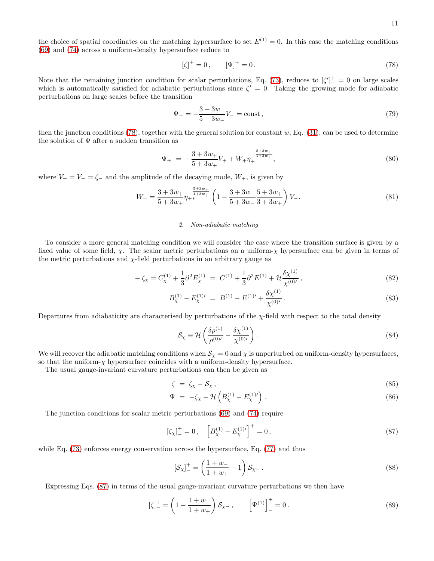the choice of spatial coordinates on the matching hypersurface to set  $E^{(1)} = 0$ . In this case the matching conditions [\(69\)](#page-9-1) and [\(74\)](#page-9-0) across a uniform-density hypersurface reduce to

<span id="page-10-0"></span>
$$
[\zeta]_{-}^{+} = 0, \qquad [\Psi]_{-}^{+} = 0. \tag{78}
$$

Note that the remaining junction condition for scalar perturbations, Eq. [\(73\)](#page-9-0), reduces to  $\zeta'$ <sup> $+$ </sup> = 0 on large scales which is automatically satisfied for adiabatic perturbations since  $\zeta' = 0$ . Taking the growing mode for adiabatic perturbations on large scales before the transition

<span id="page-10-2"></span>
$$
\Psi_{-} = -\frac{3+3w_{-}}{5+3w_{-}}V_{-} = \text{const},\tag{79}
$$

then the junction conditions [\(78\)](#page-10-0), together with the general solution for constant  $w$ , Eq. [\(31\)](#page-4-3), can be used to determine the solution of  $\Psi$  after a sudden transition as

<span id="page-10-3"></span>
$$
\Psi_{+} = -\frac{3+3w_{+}}{5+3w_{+}}V_{+} + W_{+}\eta_{+}^{-\frac{5+3w_{+}}{1+3w_{+}}},\tag{80}
$$

where  $V_+ = V_- = \zeta_-$  and the amplitude of the decaying mode,  $W_+$ , is given by

<span id="page-10-5"></span>
$$
W_{+} = \frac{3 + 3w_{+}}{5 + 3w_{+}} \eta_{+}^{\frac{5 + 3w_{+}}{1 + 3w_{+}}} \left(1 - \frac{3 + 3w_{-}}{5 + 3w_{-}} \frac{5 + 3w_{+}}{3 + 3w_{+}}\right) V_{-}.
$$
\n
$$
(81)
$$

#### 2. Non-adiabatic matching

To consider a more general matching condition we will consider the case where the transition surface is given by a fixed value of some field,  $\chi$ . The scalar metric perturbations on a uniform- $\chi$  hypersurface can be given in terms of the metric perturbations and  $\chi$ -field perturbations in an arbitrary gauge as

$$
-\zeta_{\chi} = C_{\chi}^{(1)} + \frac{1}{3} \partial^2 E_{\chi}^{(1)} = C^{(1)} + \frac{1}{3} \partial^2 E^{(1)} + \mathcal{H} \frac{\delta \chi^{(1)}}{\chi^{(0)'}},
$$
\n(82)

$$
B_{\chi}^{(1)} - E_{\chi}^{(1)\prime} = B^{(1)} - E^{(1)\prime} + \frac{\delta \chi^{(1)}}{\chi^{(0)\prime}}.
$$
\n(83)

Departures from adiabaticity are characterised by perturbations of the  $\chi$ -field with respect to the total density

$$
S_{\chi} \equiv \mathcal{H} \left( \frac{\delta \rho^{(1)}}{\rho^{(0)\prime}} - \frac{\delta \chi^{(1)}}{\chi^{(0)\prime}} \right) . \tag{84}
$$

We will recover the adiabatic matching conditions when  $S_\chi = 0$  and  $\chi$  is unperturbed on uniform-density hypersurfaces, so that the uniform- $\chi$  hypersurface coincides with a uniform-density hypersurface.

The usual gauge-invariant curvature perturbations can then be given as

$$
\zeta = \zeta_{\chi} - \mathcal{S}_{\chi},\tag{85}
$$

$$
\Psi = -\zeta_{\chi} - \mathcal{H}\left(B_{\chi}^{(1)} - E_{\chi}^{(1)}{}'\right). \tag{86}
$$

The junction conditions for scalar metric perturbations [\(69\)](#page-9-1) and [\(74\)](#page-9-0) require

<span id="page-10-1"></span>
$$
\left[\zeta_{\chi}\right]_{-}^{+} = 0, \quad \left[B_{\chi}^{(1)} - E_{\chi}^{(1)\prime}\right]_{-}^{+} = 0, \tag{87}
$$

while Eq. [\(73\)](#page-9-0) enforces energy conservation across the hypersurface, Eq. [\(77\)](#page-9-2) and thus

$$
[\mathcal{S}_{\chi}]_{-}^{+} = \left(\frac{1+w_{-}}{1+w_{+}} - 1\right) \mathcal{S}_{\chi -}.
$$
\n(88)

Expressing Eqs. [\(87\)](#page-10-1) in terms of the usual gauge-invariant curvature perturbations we then have

<span id="page-10-4"></span>
$$
[\zeta]_{-}^{+} = \left(1 - \frac{1 + w_{-}}{1 + w_{+}}\right) \mathcal{S}_{\chi -}, \qquad [\Psi^{(1)}]_{-}^{+} = 0.
$$
\n(89)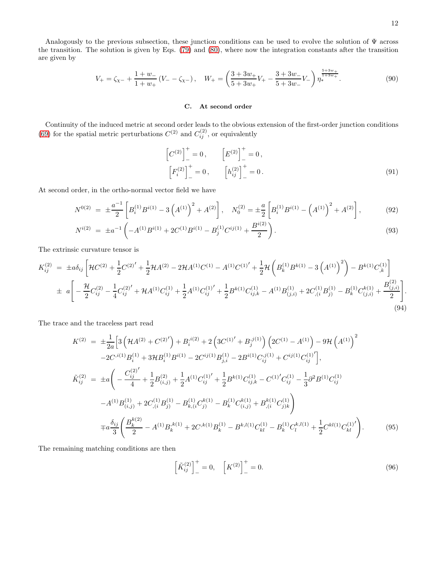.

Analogously to the previous subsection, these junction conditions can be used to evolve the solution of Ψ across the transition. The solution is given by Eqs. [\(79\)](#page-10-2) and [\(80\)](#page-10-3), where now the integration constants after the transition are given by

<span id="page-11-3"></span>
$$
V_{+} = \zeta_{\chi-} + \frac{1+w_{-}}{1+w_{+}} \left( V_{-} - \zeta_{\chi-} \right), \quad W_{+} = \left( \frac{3+3w_{+}}{5+3w_{+}} V_{+} - \frac{3+3w_{-}}{5+3w_{-}} V_{-} \right) \eta_{*}^{\frac{5+3w_{+}}{1+3w_{+}}}.
$$
\n
$$
(90)
$$

# C. At second order

Continuity of the induced metric at second order leads to the obvious extension of the first-order junction conditions [\(69\)](#page-9-1) for the spatial metric perturbations  $C^{(2)}$  and  $C_{ij}^{(2)}$ , or equivalently

<span id="page-11-0"></span>
$$
\[C^{(2)}\]_{-}^{+} = 0, \qquad \left[E^{(2)}\right]_{-}^{+} = 0, \n\left[F_{i}^{(2)}\right]_{-}^{+} = 0, \qquad \left[h_{ij}^{(2)}\right]_{-}^{+} = 0.
$$
\n(91)

At second order, in the ortho-normal vector field we have

$$
N^{0(2)} = \pm \frac{a^{-1}}{2} \left[ B_i^{(1)} B^{i(1)} - 3 \left( A^{(1)} \right)^2 + A^{(2)} \right], \quad N_0^{(2)} = \pm \frac{a}{2} \left[ B_i^{(1)} B^{i(1)} - \left( A^{(1)} \right)^2 + A^{(2)} \right],\tag{92}
$$

$$
N^{i(2)} = \pm a^{-1} \left( -A^{(1)} B^{i(1)} + 2C^{(1)} B^{i(1)} - B_j^{(1)} C^{ij(1)} + \frac{B^{i(2)}}{2} \right).
$$
\n(93)

The extrinsic curvature tensor is

$$
K_{ij}^{(2)} = \pm a\delta_{ij} \left[ \mathcal{H}C^{(2)} + \frac{1}{2}C^{(2)'} + \frac{1}{2}\mathcal{H}A^{(2)} - 2\mathcal{H}A^{(1)}C^{(1)} - A^{(1)}C^{(1)'} + \frac{1}{2}\mathcal{H}\left(B_k^{(1)}B^{k(1)} - 3\left(A^{(1)}\right)^2\right) - B^{k(1)}C_{,k}^{(1)}\right]
$$
  

$$
\pm a \left[ -\frac{\mathcal{H}}{2}C_{ij}^{(2)} - \frac{1}{4}C_{ij}^{(2)'} + \mathcal{H}A^{(1)}C_{ij}^{(1)} + \frac{1}{2}A^{(1)}C_{ij}^{(1)'} + \frac{1}{2}B^{k(1)}C_{ij,k}^{(1)} - A^{(1)}B_{(j,i)}^{(1)} + 2C_{,i}^{(1)}B_{j}^{(1)} - B_{k}^{(1)}C_{(j,i)}^{k(1)} + \frac{B_{(j,i)}^{(2)}}{2}\right].
$$
  
(94)

The trace and the traceless part read

<span id="page-11-2"></span>
$$
K^{(2)} = \pm \frac{1}{2a} \Big[ 3 \left( \mathcal{H} A^{(2)} + C^{(2)} \right) + B_i^{i(2)} + 2 \left( 3C^{(1)'} + B_j^{j(1)} \right) \left( 2C^{(1)} - A^{(1)} \right) - 9 \mathcal{H} \left( A^{(1)} \right)^2
$$
  
\n
$$
-2C^{i(1)} B_i^{(1)} + 3 \mathcal{H} B_i^{(1)} B^{i(1)} - 2C^{ij(1)} B_{j,i}^{(1)} - 2 B^{i(1)} C_{ij}^{j(1)} + C^{ij(1)} C_{ij}^{(1)} \Big],
$$
  
\n
$$
\tilde{K}_{ij}^{(2)} = \pm a \Bigg( -\frac{C_{ij}^{(2)'}}{4} + \frac{1}{2} B_{(i,j)}^{(2)} + \frac{1}{2} A^{(1)} C_{ij}^{(1)'} + \frac{1}{2} B^{k(1)} C_{ij,k}^{(1)} - C^{(1)'} C_{ij}^{(1)} - \frac{1}{3} \partial^2 B^{(1)} C_{ij}^{(1)}
$$
  
\n
$$
-A^{(1)} B_{(i,j)}^{(1)} + 2C_{i,i}^{(1)} B_{j}^{(1)} - B_{k,i}^{(1)} C_{j}^{k(1)} - B_{k}^{(1)} C_{(i,j)}^{k(1)} + B_{i,i}^{k(1)} C_{j)k}^{(1)} \Bigg)
$$
  
\n
$$
\mp a \frac{\delta_{ij}}{3} \Bigg( \frac{B_{k}^{k(2)}}{2} - A^{(1)} B_{k}^{k(1)} + 2C^{k(1)} B_{k}^{(1)} - B_{k}^{k,1}(1) C_{kl}^{(1)} - B_{k}^{(1)} C_{l}^{k,1}(1) + \frac{1}{2} C^{k(1)} C_{kl}^{(1)'} \Bigg).
$$
  
\n(95)

The remaining matching conditions are then

<span id="page-11-1"></span>
$$
\left[\tilde{K}_{ij}^{(2)}\right]_{-}^{+} = 0, \quad \left[K^{(2)}\right]_{-}^{+} = 0. \tag{96}
$$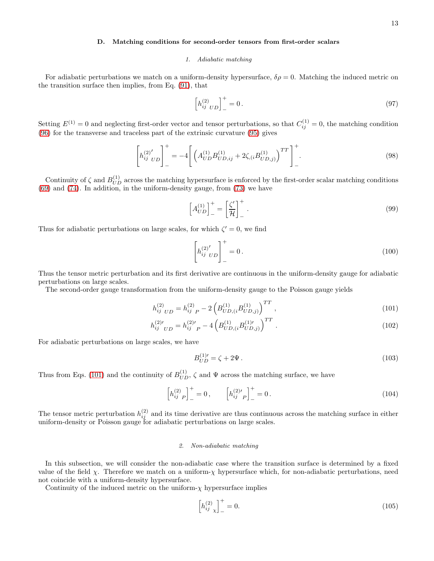# D. Matching conditions for second-order tensors from first-order scalars

#### 1. Adiabatic matching

For adiabatic perturbations we match on a uniform-density hypersurface,  $\delta \rho = 0$ . Matching the induced metric on the transition surface then implies, from Eq. [\(91\)](#page-11-0), that

<span id="page-12-3"></span>
$$
\[h_{ij\;\;UD}^{(2)}\]_-=0\,. \tag{97}
$$

Setting  $E^{(1)} = 0$  and neglecting first-order vector and tensor perturbations, so that  $C_{ij}^{(1)} = 0$ , the matching condition [\(96\)](#page-11-1) for the transverse and traceless part of the extrinsic curvature [\(95\)](#page-11-2) gives

$$
\left[h_{ij\quadUD}^{(2)'}\right]_{-}^{+} = -4\left[\left(A_{UD}^{(1)}B_{UD,ij}^{(1)} + 2\zeta_{,i}B_{UD,j}^{(1)}\right)^{TT}\right]_{-}^{+}.
$$
\n(98)

Continuity of  $\zeta$  and  $B_{UD}^{(1)}$  across the matching hypersurface is enforced by the first-order scalar matching conditions [\(69\)](#page-9-1) and [\(74\)](#page-9-0). In addition, in the uniform-density gauge, from [\(73\)](#page-9-0) we have

$$
\left[A_{UD}^{(1)}\right]_-=\left[\frac{\zeta'}{\mathcal{H}}\right]_-\^*.
$$
\n(99)

Thus for adiabatic perturbations on large scales, for which  $\zeta' = 0$ , we find

<span id="page-12-4"></span>
$$
\left[ h_{ij}^{(2)'}_{U D} \right]_{-}^{+} = 0. \tag{100}
$$

Thus the tensor metric perturbation and its first derivative are continuous in the uniform-density gauge for adiabatic perturbations on large scales.

The second-order gauge transformation from the uniform-density gauge to the Poisson gauge yields

<span id="page-12-0"></span>
$$
h_{ij\;UD}^{(2)} = h_{ij\;P}^{(2)} - 2\left(B_{UD,(i}^{(1)}B_{UD,j)}^{(1)}\right)^{TT},\tag{101}
$$

$$
h_{ij}^{(2)'}_{UD} = h_{ij}^{(2)'}_{P} - 4 \left( B_{UD,(i}^{(1)} B_{UD,j}^{(1)'} \right)^{TT} . \tag{102}
$$

For adiabatic perturbations on large scales, we have

$$
B_{UD}^{(1)'} = \zeta + 2\Psi. \tag{103}
$$

Thus from Eqs. [\(101\)](#page-12-0) and the continuity of  $B_{UD}^{(1)}$ ,  $\zeta$  and  $\Psi$  across the matching surface, we have

<span id="page-12-2"></span>
$$
\left[h_{ij\ P}^{(2)}\right]_{-}^{+} = 0\,, \qquad \left[h_{ij\ P}^{(2)\prime}\right]_{-}^{+} = 0\,.
$$
 (104)

The tensor metric perturbation  $h_{ij}^{(2)}$  and its time derivative are thus continuous across the matching surface in either uniform-density or Poisson gauge for adiabatic perturbations on large scales.

# 2. Non-adiabatic matching

In this subsection, we will consider the non-adiabatic case where the transition surface is determined by a fixed value of the field  $\chi$ . Therefore we match on a uniform- $\chi$  hypersurface which, for non-adiabatic perturbations, need not coincide with a uniform-density hypersurface.

Continuity of the induced metric on the uniform- $\chi$  hypersurface implies

<span id="page-12-1"></span>
$$
\[h_{ij}^{(2)}\]_+^+ = 0.\tag{105}
$$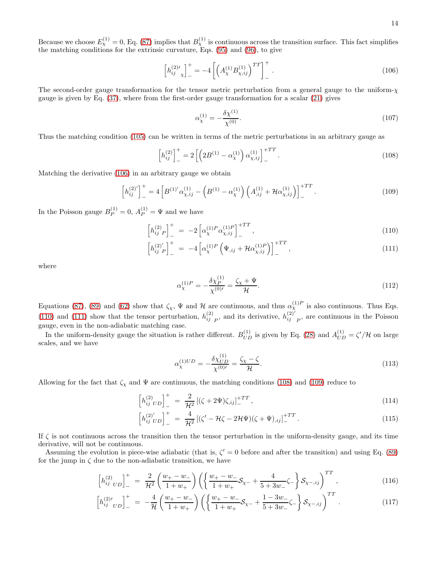Because we choose  $E_{\chi}^{(1)}=0$ , Eq. [\(87\)](#page-10-1) implies that  $B_{\chi}^{(1)}$  is continuous across the transition surface. This fact simplifies the matching conditions for the extrinsic curvature, Eqs. [\(95\)](#page-11-2) and [\(96\)](#page-11-1), to give

<span id="page-13-0"></span>
$$
\[h_{ij}^{(2)\prime}\]_{-}^{+} = -4\left[\left(A_{\chi}^{(1)}B_{\chi,ij}^{(1)}\right)^{TT}\right]_{-}^{+}.
$$
\n(106)

The second-order gauge transformation for the tensor metric perturbation from a general gauge to the uniform- $\chi$ gauge is given by Eq. [\(37\)](#page-5-1), where from the first-order gauge transformation for a scalar [\(21\)](#page-3-1) gives

$$
\alpha_{\chi}^{(1)} = -\frac{\delta \chi^{(1)}}{\chi^{(0)}}.\tag{107}
$$

Thus the matching condition [\(105\)](#page-12-1) can be written in terms of the metric perturbations in an arbitrary gauge as

<span id="page-13-2"></span>
$$
\[h_{ij}^{(2)}\]_{-}^{+} = 2\left[\left(2B^{(1)} - \alpha_{\chi}^{(1)}\right)\alpha_{\chi,ij}^{(1)}\right]_{-}^{+TT}.
$$
\n(108)

Matching the derivative [\(106\)](#page-13-0) in an arbitrary gauge we obtain

<span id="page-13-3"></span>
$$
\left[h_{ij}^{(2)'}\right]_{-}^{+} = 4\left[B^{(1)'}\alpha_{\chi,ij}^{(1)} - \left(B^{(1)} - \alpha_{\chi}^{(1)}\right)\left(A_{,ij}^{(1)} + \mathcal{H}\alpha_{\chi,ij}^{(1)}\right)\right]_{-}^{+TT}.
$$
\n(109)

In the Poisson gauge  $B_P^{(1)} = 0$ ,  $A_P^{(1)} = \Psi$  and we have

<span id="page-13-1"></span>
$$
\left[h_{ij\ P}^{(2)}\right]_{-}^{+} = -2\left[\alpha_{\chi}^{(1)P}\alpha_{\chi,ij}^{(1)P}\right]_{-}^{+TT},\tag{110}
$$

$$
\[h_{ij}^{(2)'}\]_{-}^{+} = -4\left[\alpha_{\chi}^{(1)P}\left(\Psi_{,ij} + \mathcal{H}\alpha_{\chi,ij}^{(1)P}\right)\right]_{-}^{+TT},\tag{111}
$$

where

$$
\alpha_{\chi}^{(1)P} = -\frac{\delta \chi_P^{(1)}}{\chi^{(0)'} } = \frac{\zeta_{\chi} + \Psi}{\mathcal{H}}.
$$
\n(112)

Equations [\(87\)](#page-10-1), [\(89\)](#page-10-4) and [\(62\)](#page-8-1) show that  $\zeta_{\chi}$ ,  $\Psi$  and  $H$  are continuous, and thus  $\alpha_{\chi}^{(1)P}$  is also continuous. Thus Eqs. [\(110\)](#page-13-1) and [\(111\)](#page-13-1) show that the tensor perturbation,  $h_{ij}^{(2)}_p$ , and its derivative,  $h_{ij}^{(2)}$  $\binom{2}{i}$  <sub>P</sub>, are continuous in the Poisson gauge, even in the non-adiabatic matching case.

In the uniform-density gauge the situation is rather different.  $B_{UD}^{(1)}$  is given by Eq. [\(28\)](#page-3-3) and  $A_{UD}^{(1)} = \zeta'/\mathcal{H}$  on large scales, and we have

$$
\alpha_{\chi}^{(1)UD} = -\frac{\delta \chi_{UD}^{(1)}}{\chi^{(0)'} } = \frac{\zeta_{\chi} - \zeta}{\mathcal{H}}.
$$
\n(113)

Allowing for the fact that  $\zeta_{\chi}$  and  $\Psi$  are continuous, the matching conditions [\(108\)](#page-13-2) and [\(109\)](#page-13-3) reduce to

$$
\[h_{ij\;UD}^{(2)}\]_{-}^{+} = \frac{2}{\mathcal{H}^2} \left[ (\zeta + 2\Psi)\zeta_{,ij} \right]_{-}^{+TT},\tag{114}
$$

$$
\[h_{ij}^{(2)'}{}_{UD}\]_{-}^{+} = \frac{4}{\mathcal{H}^{2}}\left[ (\zeta' - \mathcal{H}\zeta - 2\mathcal{H}\Psi)(\zeta + \Psi)_{,ij}\right]_{-}^{+TT}.
$$
\n(115)

If  $\zeta$  is not continuous across the transition then the tensor perturbation in the uniform-density gauge, and its time derivative, will not be continuous.

Assuming the evolution is piece-wise adiabatic (that is,  $\zeta' = 0$  before and after the transition) and using Eq. [\(89\)](#page-10-4) for the jump in  $\zeta$  due to the non-adiabatic transition, we have

<span id="page-13-4"></span>
$$
\left[h_{ij\;UD}^{(2)}\right]_{-}^{+} = \frac{2}{\mathcal{H}^{2}} \left(\frac{w_{+} - w_{-}}{1 + w_{+}}\right) \left(\left\{\frac{w_{+} - w_{-}}{1 + w_{+}}\mathcal{S}_{\chi -} + \frac{4}{5 + 3w_{-}}\zeta_{-}\right\}\mathcal{S}_{\chi -,ij}\right)^{TT},\tag{116}
$$

$$
\left[h_{ij}^{(2)'}{}_{UD}\right]_{-}^{+} = -\frac{4}{\mathcal{H}}\left(\frac{w_{+}-w_{-}}{1+w_{+}}\right)\left(\left\{\frac{w_{+}-w_{-}}{1+w_{+}}\mathcal{S}_{\chi-}+\frac{1-3w_{-}}{5+3w_{-}}\zeta_{-}\right\}\mathcal{S}_{\chi-,ij}\right)^{TT}.
$$
\n(117)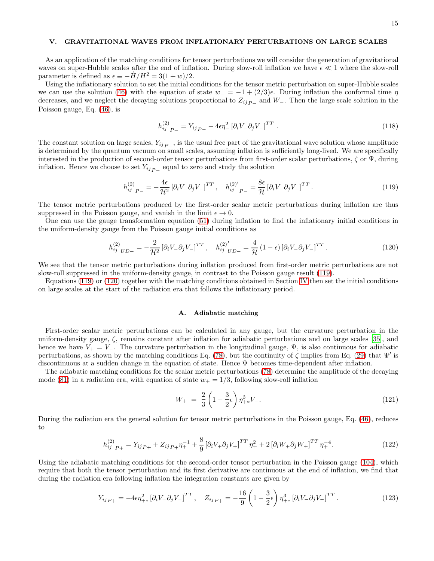## V. GRAVITATIONAL WAVES FROM INFLATIONARY PERTURBATIONS ON LARGE SCALES

As an application of the matching conditions for tensor perturbations we will consider the generation of gravitational waves on super-Hubble scales after the end of inflation. During slow-roll inflation we have  $\epsilon \ll 1$  where the slow-roll parameter is defined as  $\epsilon \equiv -H/H^2 = 3(1+w)/2$ .

Using the inflationary solution to set the initial conditions for the tensor metric perturbation on super-Hubble scales we can use the solution [\(46\)](#page-6-4) with the equation of state  $w_- = -1 + (2/3)\epsilon$ . During inflation the conformal time  $\eta$ decreases, and we neglect the decaying solutions proportional to  $Z_{ij_{P-}}$  and W<sub>-</sub>. Then the large scale solution in the Poisson gauge, Eq. [\(46\)](#page-6-4), is

$$
h_{ij\ P-}^{(2)} = Y_{ij\ P-} - 4\epsilon \eta_{-}^{2} \left[ \partial_{i} V_{-} \partial_{j} V_{-} \right]^{TT} . \tag{118}
$$

The constant solution on large scales,  $Y_{ij}$   $_{P-}$ , is the usual free part of the gravitational wave solution whose amplitude is determined by the quantum vacuum on small scales, assuming inflation is sufficiently long-lived. We are specifically interested in the production of second-order tensor perturbations from first-order scalar perturbations,  $\zeta$  or  $\Psi$ , during inflation. Hence we choose to set  $Y_{ij}$ <sub>P</sub> – equal to zero and study the solution

<span id="page-14-0"></span>
$$
h_{ij\ P-}^{(2)} = -\frac{4\epsilon}{\mathcal{H}^2} \left[ \partial_i V_- \partial_j V_- \right]^{TT}, \quad h_{ij\ P-}^{(2)'} = \frac{8\epsilon}{\mathcal{H}} \left[ \partial_i V_- \partial_j V_- \right]^{TT}.
$$
\n(119)

The tensor metric perturbations produced by the first-order scalar metric perturbations during inflation are thus suppressed in the Poisson gauge, and vanish in the limit  $\epsilon \to 0$ .

One can use the gauge transformation equation [\(51\)](#page-7-1) during inflation to find the inflationary initial conditions in the uniform-density gauge from the Poisson gauge initial conditions as

<span id="page-14-1"></span>
$$
h_{ij\;UD-}^{(2)} = -\frac{2}{\mathcal{H}^2} \left[ \partial_i V_- \partial_j V_- \right]^{TT}, \quad h_{ij\;UD-}^{(2)'} = \frac{4}{\mathcal{H}} \left( 1 - \epsilon \right) \left[ \partial_i V_- \partial_j V_- \right]^{TT}.
$$
 (120)

We see that the tensor metric perturbations during inflation produced from first-order metric perturbations are not slow-roll suppressed in the uniform-density gauge, in contrast to the Poisson gauge result [\(119\)](#page-14-0).

Equations [\(119\)](#page-14-0) or [\(120\)](#page-14-1) together with the matching conditions obtained in Section [IV](#page-7-3) then set the initial conditions on large scales at the start of the radiation era that follows the inflationary period.

#### A. Adiabatic matching

First-order scalar metric perturbations can be calculated in any gauge, but the curvature perturbation in the uniform-density gauge, ζ, remains constant after inflation for adiabatic perturbations and on large scales [\[35\]](#page-18-19), and hence we have  $V_+ = V_-$ . The curvature perturbation in the longitudinal gauge,  $\Psi$ , is also continuous for adiabatic perturbations, as shown by the matching conditions Eq. [\(78\)](#page-10-0), but the continuity of  $\zeta$  implies from Eq. [\(29\)](#page-3-2) that  $\Psi'$  is discontinuous at a sudden change in the equation of state. Hence Ψ becomes time-dependent after inflation.

The adiabatic matching conditions for the scalar metric perturbations [\(78\)](#page-10-0) determine the amplitude of the decaying mode [\(81\)](#page-10-5) in a radiation era, with equation of state  $w_+ = 1/3$ , following slow-roll inflation

<span id="page-14-4"></span>
$$
W_{+} = \frac{2}{3} \left( 1 - \frac{3}{2} \epsilon \right) \eta_{+*}^{3} V_{-}.
$$
\n(121)

During the radiation era the general solution for tensor metric perturbations in the Poisson gauge, Eq. [\(46\)](#page-6-4), reduces to

<span id="page-14-3"></span>
$$
h_{ij\ P+}^{(2)} = Y_{ij\ P+} + Z_{ij\ P+} \eta_{+}^{-1} + \frac{8}{9} \left[ \partial_i V_{+} \partial_j V_{+} \right]^{TT} \eta_{+}^{2} + 2 \left[ \partial_i W_{+} \partial_j W_{+} \right]^{TT} \eta_{+}^{-4}.
$$
 (122)

Using the adiabatic matching conditions for the second-order tensor perturbation in the Poisson gauge [\(104\)](#page-12-2), which require that both the tensor perturbation and its first derivative are continuous at the end of inflation, we find that during the radiation era following inflation the integration constants are given by

<span id="page-14-2"></span>
$$
Y_{ij\,P+} = -4\epsilon \eta_{+*}^2 \left[\partial_i V_-\partial_j V_-\right]^{TT}, \quad Z_{ij\,P+} = -\frac{16}{9} \left(1 - \frac{3}{2}\epsilon\right) \eta_{+*}^3 \left[\partial_i V_-\partial_j V_-\right]^{TT}.
$$
 (123)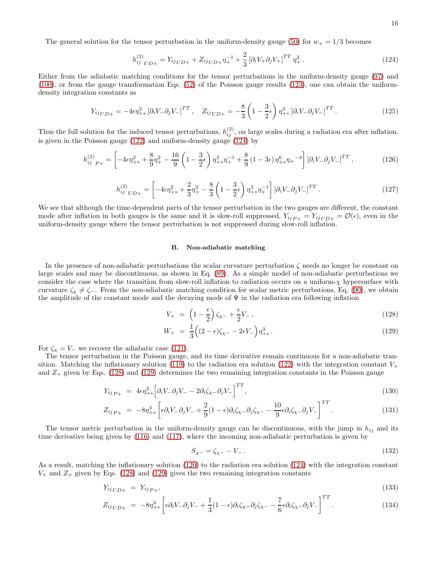The general solution for the tensor perturbation in the uniform-density gauge [\(50\)](#page-7-4) for  $w_+ = 1/3$  becomes

<span id="page-15-0"></span>
$$
h_{ij\;UD+}^{(2)} = Y_{ij\;UD+} + Z_{ij\;UD+} \eta_{+}^{-1} + \frac{2}{3} \left[ \partial_i V_{+} \partial_j V_{+} \right]^{TT} \eta_{+}^{2} \,. \tag{124}
$$

Either from the adiabatic matching conditions for the tensor perturbations in the uniform-density gauge [\(97\)](#page-12-3) and [\(100\)](#page-12-4), or from the gauge transformation Eqs. [\(52\)](#page-7-5) of the Poisson gauge results [\(123\)](#page-14-2), one can obtain the uniformdensity integration constants as

$$
Y_{ij\,UD+} = -4\epsilon \eta_{+*}^2 \left[ \partial_i V_- \partial_j V_- \right]^{TT}, \quad Z_{ij\,UD+} = -\frac{8}{3} \left( 1 - \frac{3}{2} \epsilon \right) \eta_{+*}^3 \left[ \partial_i V_- \partial_j V_- \right]^{TT} . \tag{125}
$$

Thus the full solution for the induced tensor perturbations,  $h_{ij}^{(2)}$ , on large scales during a radiation era after inflation, is given in the Poisson gauge [\(122\)](#page-14-3) and uniform-density gauge [\(124\)](#page-15-0) by

<span id="page-15-2"></span>
$$
h_{ij\ P+}^{(2)} = \left[ -4\epsilon \eta_{+*}^2 + \frac{8}{9} \eta_{+}^2 - \frac{16}{9} \left( 1 - \frac{3}{2} \epsilon \right) \eta_{+*}^3 \eta_{+}^{-1} + \frac{8}{9} \left( 1 - 3\epsilon \right) \eta_{+*}^6 \eta_{+}^{-4} \right] \left[ \partial_i V_- \partial_j V_- \right]^{TT},\tag{126}
$$

<span id="page-15-3"></span>
$$
h_{ij\;UD+}^{(2)} = \left[ -4\epsilon \eta_{++}^2 + \frac{2}{3} \eta_{+-}^2 - \frac{8}{3} \left( 1 - \frac{3}{2} \epsilon \right) \eta_{++}^3 \eta_{+-}^{-1} \right] \left[ \partial_i V_- \partial_j V_- \right]^{TT} . \tag{127}
$$

We see that although the time-dependent parts of the tensor perturbation in the two gauges are different, the constant mode after inflation in both gauges is the same and it is slow-roll suppressed,  $Y_{ijp_+} = Y_{ijUD^+} = \mathcal{O}(\epsilon)$ , even in the uniform-density gauge where the tensor perturbation is not suppressed during slow-roll inflation.

#### B. Non-adiabatic matching

In the presence of non-adiabatic perturbations the scalar curvature perturbation  $\zeta$  needs no longer be constant on large scales and may be discontinuous, as shown in Eq. [\(89\)](#page-10-4). As a simple model of non-adiabatic perturbations we consider the case where the transition from slow-roll inflation to radiation occurs on a uniform- $\chi$  hypersurface with curvature  $\zeta_x \neq \zeta$ . From the non-adiabatic matching condition for scalar metric perturbations, Eq. [\(90\)](#page-11-3), we obtain the amplitude of the constant mode and the decaying mode of  $\Psi$  in the radiation era following inflation

<span id="page-15-1"></span>
$$
V_{+} = \left(1 - \frac{\epsilon}{2}\right)\zeta_{\chi-} + \frac{\epsilon}{2}V_{-} \,,\tag{128}
$$

$$
W_{+} = \frac{1}{3} \Big( (2 - \epsilon)\zeta_{\chi-} - 2\epsilon V_{-} \Big) \eta_{+\ast}^{3} \,. \tag{129}
$$

For  $\zeta_{\chi} = V_{-}$  we recover the adiabatic case [\(121\)](#page-14-4).

The tensor perturbation in the Poisson gauge, and its time derivative remain continuous for a non-adiabatic tran-sition. Matching the inflationary solution [\(119\)](#page-14-0) to the radiation era solution [\(122\)](#page-14-3) with the integration constant  $V_+$ and  $Z_+$  given by Eqs. [\(128\)](#page-15-1) and [\(129\)](#page-15-1) determines the two remaining integration constants in the Poisson gauge

$$
Y_{ij\,P+} = 4\epsilon \eta_{+\ast}^2 \Big[ \partial_i V_- \partial_j V_- - 2\partial_i \zeta_{\chi-} \partial_j V_- \Big]^{TT},\tag{130}
$$

$$
Z_{ij\,P+} = -8\eta_{+\ast}^3 \left[ \epsilon \partial_i V_- \partial_j V_- + \frac{2}{9} (1 - \epsilon) \partial_i \zeta_{\chi} - \partial_j \zeta_{\chi} - \frac{10}{9} \epsilon \partial_i \zeta_{\chi} - \partial_j V_- \right]^{TT} . \tag{131}
$$

The tensor metric perturbation in the uniform-density gauge can be discontinuous, with the jump in  $h_{ij}$  and its time derivative being given by [\(116\)](#page-13-4) and [\(117\)](#page-13-4), where the incoming non-adiabatic perturbation is given by

$$
S_{\chi-} = \zeta_{\chi-} - V_- \,. \tag{132}
$$

As a result, matching the inflationary solution [\(120\)](#page-14-1) to the radiation era solution [\(124\)](#page-15-0) with the integration constant  $V_+$  and  $Z_+$  given by Eqs. [\(128\)](#page-15-1) and [\(129\)](#page-15-1) gives the two remaining integration constants

$$
Y_{ij\,UD+} = Y_{ij\,P+},\tag{133}
$$

$$
Z_{ij\,UD+} = -8\eta_{+\ast}^3 \left[ \epsilon \partial_i V_- \partial_j V_- + \frac{1}{3} (1 - \epsilon) \partial_i \zeta_{\chi-} \partial_j \zeta_{\chi-} - \frac{7}{6} \epsilon \partial_i \zeta_{\chi-} \partial_j V_- \right]^{TT} . \tag{134}
$$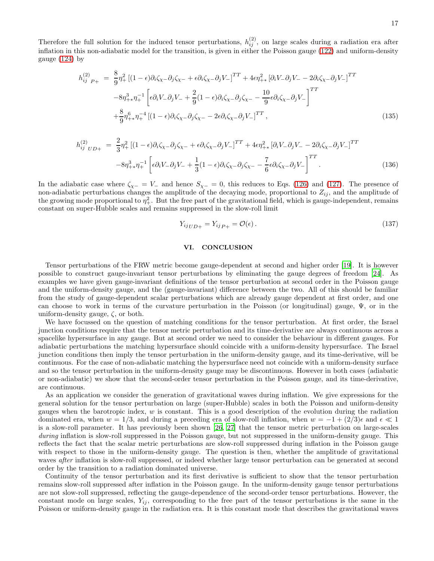Therefore the full solution for the induced tensor perturbations,  $h_{ij}^{(2)}$ , on large scales during a radiation era after inflation in this non-adiabatic model for the transition, is given in either the Poisson gauge [\(122\)](#page-14-3) and uniform-density gauge [\(124\)](#page-15-0) by

$$
h_{ij}^{(2)}_{P+} = \frac{8}{9} \eta_+^2 \left[ (1 - \epsilon) \partial_i \zeta_{\chi} - \partial_j \zeta_{\chi} - + \epsilon \partial_i \zeta_{\chi} - \partial_j V_- \right]^{TT} + 4\epsilon \eta_{+*}^2 \left[ \partial_i V_- \partial_j V_- - 2 \partial_i \zeta_{\chi} - \partial_j V_- \right]^{TT}
$$
  

$$
-8\eta_{+*}^3 \eta_+^{-1} \left[ \epsilon \partial_i V_- \partial_j V_- + \frac{2}{9} (1 - \epsilon) \partial_i \zeta_{\chi} - \partial_j \zeta_{\chi} - \frac{10}{9} \epsilon \partial_i \zeta_{\chi} - \partial_j V_- \right]^{TT}
$$
  

$$
+ \frac{8}{9} \eta_{+*}^6 \eta_+^{-4} \left[ (1 - \epsilon) \partial_i \zeta_{\chi} - \partial_j \zeta_{\chi} - 2\epsilon \partial_i \zeta_{\chi} - \partial_j V_- \right]^{TT}, \tag{135}
$$

$$
h_{ij\;UD+}^{(2)} = \frac{2}{3}\eta_+^2 \left[ (1-\epsilon)\partial_i \zeta_{\chi-}\partial_j \zeta_{\chi-} + \epsilon \partial_i \zeta_{\chi-}\partial_j V_- \right]^{TT} + 4\epsilon \eta_{+*}^2 \left[ \partial_i V_- \partial_j V_- - 2\partial_i \zeta_{\chi-}\partial_j V_- \right]^{TT}
$$

$$
-8\eta_{+*}^3 \eta_+^{-1} \left[ \epsilon \partial_i V_- \partial_j V_- + \frac{1}{3} (1-\epsilon)\partial_i \zeta_{\chi-}\partial_j \zeta_{\chi-} - \frac{7}{6} \epsilon \partial_i \zeta_{\chi-}\partial_j V_- \right]^{TT} . \tag{136}
$$

In the adiabatic case where  $\zeta_{\chi-} = V_-\,$  and hence  $S_{\chi-} = 0$ , this reduces to Eqs. [\(126\)](#page-15-2) and [\(127\)](#page-15-3). The presence of non-adiabatic perturbations changes the amplitude of the decaying mode, proportional to  $Z_{ij}$ , and the amplitude of the growing mode proportional to  $\eta_+^2$ . But the free part of the gravitational field, which is gauge-independent, remains constant on super-Hubble scales and remains suppressed in the slow-roll limit

$$
Y_{ij\,UD+} = Y_{ij\,P+} = \mathcal{O}(\epsilon) \,. \tag{137}
$$

# VI. CONCLUSION

Tensor perturbations of the FRW metric become gauge-dependent at second and higher order [\[19\]](#page-18-7). It is however possible to construct gauge-invariant tensor perturbations by eliminating the gauge degrees of freedom [\[24\]](#page-18-9). As examples we have given gauge-invariant definitions of the tensor perturbation at second order in the Poisson gauge and the uniform-density gauge, and the (gauge-invariant) difference between the two. All of this should be familiar from the study of gauge-dependent scalar perturbations which are already gauge dependent at first order, and one can choose to work in terms of the curvature perturbation in the Poisson (or longitudinal) gauge, Ψ, or in the uniform-density gauge,  $\zeta$ , or both.

We have focussed on the question of matching conditions for the tensor perturbation. At first order, the Israel junction conditions require that the tensor metric perturbation and its time-derivative are always continuous across a spacelike hypersurface in any gauge. But at second order we need to consider the behaviour in different gauges. For adiabatic perturbations the matching hypersurface should coincide with a uniform-density hypersurface. The Israel junction conditions then imply the tensor perturbation in the uniform-density gauge, and its time-derivative, will be continuous. For the case of non-adiabatic matching the hypersurface need not coincide with a uniform-density surface and so the tensor perturbation in the uniform-density gauge may be discontinuous. However in both cases (adiabatic or non-adiabatic) we show that the second-order tensor perturbation in the Poisson gauge, and its time-derivative, are continuous.

As an application we consider the generation of gravitational waves during inflation. We give expressions for the general solution for the tensor perturbation on large (super-Hubble) scales in both the Poisson and uniform-density gauges when the barotropic index,  $w$  is constant. This is a good description of the evolution during the radiation dominated era, when  $w = 1/3$ , and during a preceding era of slow-roll inflation, when  $w = -1 + (2/3)\epsilon$  and  $\epsilon \ll 1$ is a slow-roll parameter. It has previously been shown [\[26,](#page-18-11) [27](#page-18-12)] that the tensor metric perturbation on large-scales during inflation is slow-roll suppressed in the Poisson gauge, but not suppressed in the uniform-density gauge. This reflects the fact that the scalar metric perturbations are slow-roll suppressed during inflation in the Poisson gauge with respect to those in the uniform-density gauge. The question is then, whether the amplitude of gravitational waves *after* inflation is slow-roll suppressed, or indeed whether large tensor perturbation can be generated at second order by the transition to a radiation dominated universe.

Continuity of the tensor perturbation and its first derivative is sufficient to show that the tensor perturbation remains slow-roll suppressed after inflation in the Poisson gauge. In the uniform-density gauge tensor perturbations are not slow-roll suppressed, reflecting the gauge-dependence of the second-order tensor perturbations. However, the constant mode on large scales,  $Y_{ij}$ , corresponding to the free part of the tensor perturbations is the same in the Poisson or uniform-density gauge in the radiation era. It is this constant mode that describes the gravitational waves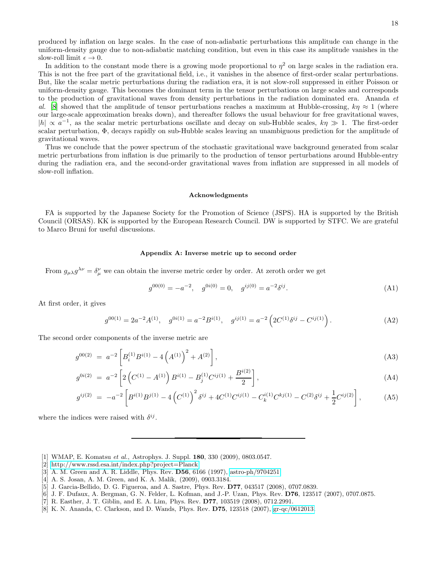produced by inflation on large scales. In the case of non-adiabatic perturbations this amplitude can change in the uniform-density gauge due to non-adiabatic matching condition, but even in this case its amplitude vanishes in the slow-roll limit  $\epsilon \to 0$ .

In addition to the constant mode there is a growing mode proportional to  $\eta^2$  on large scales in the radiation era. This is not the free part of the gravitational field, i.e., it vanishes in the absence of first-order scalar perturbations. But, like the scalar metric perturbations during the radiation era, it is not slow-roll suppressed in either Poisson or uniform-density gauge. This becomes the dominant term in the tensor perturbations on large scales and corresponds to the production of gravitational waves from density perturbations in the radiation dominated era. Ananda et al. [\[8](#page-17-6)] showed that the amplitude of tensor perturbations reaches a maximum at Hubble-crossing,  $k\eta \approx 1$  (where our large-scale approximation breaks down), and thereafter follows the usual behaviour for free gravitational waves,  $|h| \propto a^{-1}$ , as the scalar metric perturbations oscillate and decay on sub-Hubble scales,  $k\eta \gg 1$ . The first-order scalar perturbation, Φ, decays rapidly on sub-Hubble scales leaving an unambiguous prediction for the amplitude of gravitational waves.

Thus we conclude that the power spectrum of the stochastic gravitational wave background generated from scalar metric perturbations from inflation is due primarily to the production of tensor perturbations around Hubble-entry during the radiation era, and the second-order gravitational waves from inflation are suppressed in all models of slow-roll inflation.

#### Acknowledgments

FA is supported by the Japanese Society for the Promotion of Science (JSPS). HA is supported by the British Council (ORSAS). KK is supported by the European Research Council. DW is supported by STFC. We are grateful to Marco Bruni for useful discussions.

#### Appendix A: Inverse metric up to second order

From  $g_{\mu\lambda}g^{\lambda\nu} = \delta^{\nu}_{\mu}$  we can obtain the inverse metric order by order. At zeroth order we get

$$
g^{00(0)} = -a^{-2}, \quad g^{0i(0)} = 0, \quad g^{ij(0)} = a^{-2} \delta^{ij}.
$$
\n(A1)

At first order, it gives

$$
g^{00(1)} = 2a^{-2}A^{(1)}, \quad g^{0i(1)} = a^{-2}B^{i(1)}, \quad g^{ij(1)} = a^{-2} \left( 2C^{(1)}\delta^{ij} - C^{ij(1)} \right). \tag{A2}
$$

The second order components of the inverse metric are

$$
g^{00(2)} = a^{-2} \left[ B_i^{(1)} B^{i(1)} - 4 \left( A^{(1)} \right)^2 + A^{(2)} \right], \tag{A3}
$$

$$
g^{0i(2)} = a^{-2} \left[ 2 \left( C^{(1)} - A^{(1)} \right) B^{i(1)} - B_j^{(1)} C^{ij(1)} + \frac{B^{i(2)}}{2} \right], \tag{A4}
$$

$$
g^{ij(2)} = -a^{-2} \left[ B^{i(1)} B^{j(1)} - 4 \left( C^{(1)} \right)^2 \delta^{ij} + 4 C^{(1)} C^{ij(1)} - C_k^{i(1)} C^{kj(1)} - C^{(2)} \delta^{ij} + \frac{1}{2} C^{ij(2)} \right],
$$
 (A5)

where the indices were raised with  $\delta^{ij}$ .

- <span id="page-17-0"></span>[1] WMAP, E. Komatsu et al., Astrophys. J. Suppl. 180, 330 (2009), 0803.0547.
- <span id="page-17-1"></span>[2] [http://www.rssd.esa.int/index.php?project=Planck.](http://www.rssd.esa.int/index.php?project=Planck)
- <span id="page-17-2"></span>[3] A. M. Green and A. R. Liddle, Phys. Rev. D56, 6166 (1997), [astro-ph/9704251.](http://arxiv.org/abs/astro-ph/9704251)
- <span id="page-17-3"></span>[4] A. S. Josan, A. M. Green, and K. A. Malik, (2009), 0903.3184.
- <span id="page-17-4"></span>[5] J. Garcia-Bellido, D. G. Figueroa, and A. Sastre, Phys. Rev. D77, 043517 (2008), 0707.0839.
- [6] J. F. Dufaux, A. Bergman, G. N. Felder, L. Kofman, and J.-P. Uzan, Phys. Rev. D76, 123517 (2007), 0707.0875.
- <span id="page-17-5"></span>[7] R. Easther, J. T. Giblin, and E. A. Lim, Phys. Rev. D77, 103519 (2008), 0712.2991.
- <span id="page-17-6"></span>[8] K. N. Ananda, C. Clarkson, and D. Wands, Phys. Rev. D75, 123518 (2007), [gr-qc/0612013.](http://arxiv.org/abs/gr-qc/0612013)